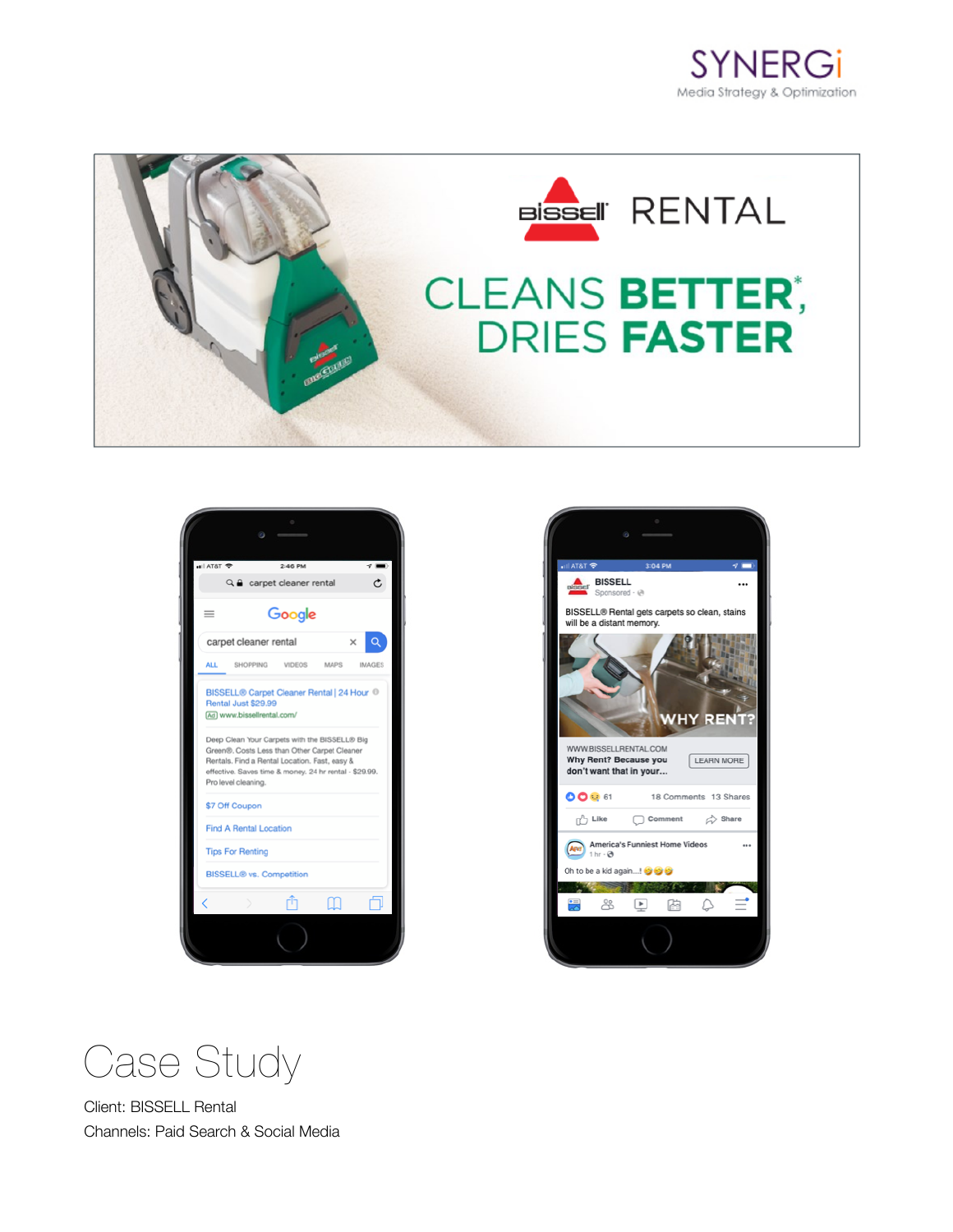



| $\bullet$ T&TA In |                                                                           | 2:46 PM                                                                                                                                                                                                                                                |             |               |
|-------------------|---------------------------------------------------------------------------|--------------------------------------------------------------------------------------------------------------------------------------------------------------------------------------------------------------------------------------------------------|-------------|---------------|
|                   |                                                                           | $Q$ $\triangle$ carpet cleaner rental                                                                                                                                                                                                                  |             |               |
| $=$               |                                                                           | Google                                                                                                                                                                                                                                                 |             |               |
|                   | carpet cleaner rental                                                     |                                                                                                                                                                                                                                                        |             | ×             |
| ALL.              | <b>SHOPPING</b>                                                           | VIDEOS                                                                                                                                                                                                                                                 | <b>MAPS</b> | <b>IMAGES</b> |
|                   | Rental Just \$29.99<br>[Ad] www.bissellrental.com/<br>Pro level cleaning. | BISSELL® Carpet Cleaner Rental   24 Hour ®<br>Deep Clean Your Carpets with the BISSELL® Big<br>Green®. Costs Less than Other Carpet Cleaner<br>Rentals. Find a Rental Location. Fast, easy &<br>effective. Saves time & money. 24 hr rental - \$29.99. |             |               |
|                   | \$7 Off Coupon                                                            |                                                                                                                                                                                                                                                        |             |               |
|                   | <b>Find A Rental Location</b>                                             |                                                                                                                                                                                                                                                        |             |               |
|                   | <b>Tips For Renting</b>                                                   |                                                                                                                                                                                                                                                        |             |               |
|                   | <b>BISSELL<sup>®</sup> vs. Competition</b>                                |                                                                                                                                                                                                                                                        |             |               |
|                   |                                                                           |                                                                                                                                                                                                                                                        |             |               |
|                   |                                                                           |                                                                                                                                                                                                                                                        |             |               |



Case Study

Client: BISSELL Rental Channels: Paid Search & Social Media